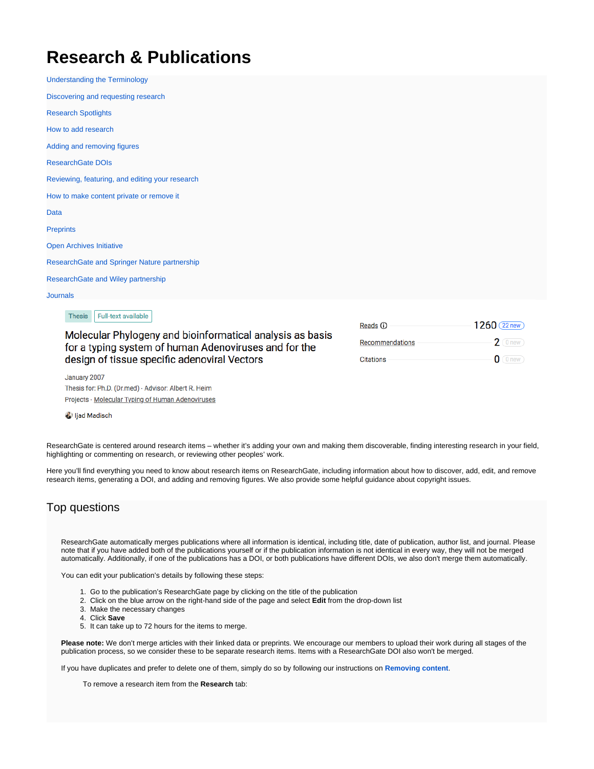## **Research & Publications**

[Understanding the Terminology](https://explore.researchgate.net/display/support/Understanding+the+terminology) [Discovering and requesting research](https://explore.researchgate.net/display/support/Discovering+and+requesting+research) [Research Spotlights](https://explore.researchgate.net/display/support/Research+Spotlights) [How to add research](https://explore.researchgate.net/display/support/How+to+add+research) [Adding and removing figures](https://explore.researchgate.net/display/support/Adding+and+removing+figures) [ResearchGate DOIs](https://explore.researchgate.net/display/support/ResearchGate+DOIs) [Reviewing, featuring, and editing your research](https://explore.researchgate.net/display/support/Reviewing%2C+featuring%2C+and+editing+your+research) [How to make content private or remove it](https://explore.researchgate.net/display/support/How+to+make+content+private+or+remove+it) [Data](https://explore.researchgate.net/display/support/Data) **[Preprints](https://explore.researchgate.net/display/support/Preprints)** [Open Archives Initiative](https://explore.researchgate.net/display/support/Open+Archives+Initiative) [ResearchGate and Springer Nature partnership](https://explore.researchgate.net/display/support/ResearchGate+and+Springer+Nature+partnership) [ResearchGate and Wiley partnership](https://explore.researchgate.net/display/support/ResearchGate+and+Wiley+partnership) **[Journals](https://explore.researchgate.net/display/support/Journals)** 

> 1260 (22 new) Reads **O**  $2$  (0 new) Recommendations  $0$  (0 new) **Citations**

Molecular Phylogeny and bioinformatical analysis as basis for a typing system of human Adenoviruses and for the

design of tissue specific adenoviral Vectors

January 2007 Thesis for: Ph.D. (Dr.med) · Advisor: Albert R. Heim Projects · Molecular Typing of Human Adenoviruses

Full-text available

ijad Madisch

Thesis

ResearchGate is centered around research items – whether it's adding your own and making them discoverable, finding interesting research in your field, highlighting or commenting on research, or reviewing other peoples' work.

Here you'll find everything you need to know about research items on ResearchGate, including information about how to discover, add, edit, and remove research items, generating a DOI, and adding and removing figures. We also provide some helpful guidance about copyright issues.

## Top questions

ResearchGate automatically merges publications where all information is identical, including title, date of publication, author list, and journal. Please note that if you have added both of the publications yourself or if the publication information is not identical in every way, they will not be merged automatically. Additionally, if one of the publications has a DOI, or both publications have different DOIs, we also don't merge them automatically.

You can edit your publication's details by following these steps:

- 1. Go to the publication's ResearchGate page by clicking on the title of the publication
- 2. Click on the blue arrow on the right-hand side of the page and select **Edit** from the drop-down list
- 3. Make the necessary changes
- 4. Click **Save**
- 5. It can take up to 72 hours for the items to merge.

**Please note:** We don't merge articles with their linked data or preprints. We encourage our members to upload their work during all stages of the publication process, so we consider these to be separate research items. Items with a ResearchGate DOI also won't be merged.

If you have duplicates and prefer to delete one of them, simply do so by following our instructions on **[Removing content](https://explore.researchgate.net/display/support/How+to+make+content+private+or+remove+it)**.

To remove a research item from the **Research** tab: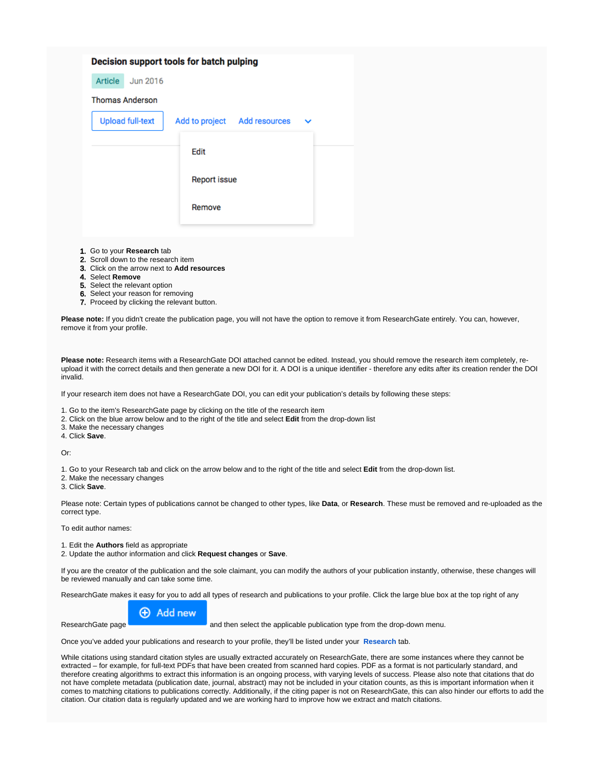|                         | Decision support tools for batch pulping |
|-------------------------|------------------------------------------|
| Article<br>Jun 2016     |                                          |
| <b>Thomas Anderson</b>  |                                          |
| <b>Upload full-text</b> | Add to project Add resources             |
|                         |                                          |
|                         | Edit                                     |
|                         | <b>Report issue</b>                      |
|                         | Remove                                   |
|                         |                                          |
|                         |                                          |

- 1. Go to your **Research** tab
- 2. Scroll down to the research item
- 3. Click on the arrow next to **Add resources**
- 4. Select **Remove**
- 5. Select the relevant option
- 6. Select your reason for removing
- 7. Proceed by clicking the relevant button.

**Please note:** If you didn't create the publication page, you will not have the option to remove it from ResearchGate entirely. You can, however, remove it from your profile.

**Please note:** Research items with a ResearchGate DOI attached cannot be edited. Instead, you should remove the research item completely, reupload it with the correct details and then generate a new DOI for it. A DOI is a unique identifier - therefore any edits after its creation render the DOI invalid.

If your research item does not have a ResearchGate DOI, you can edit your publication's details by following these steps:

- 1. Go to the item's ResearchGate page by clicking on the title of the research item
- 2. Click on the blue arrow below and to the right of the title and select **Edit** from the drop-down list
- 3. Make the necessary changes

4. Click **Save**.

Or:

1. Go to your Research tab and click on the arrow below and to the right of the title and select **Edit** from the drop-down list.

2. Make the necessary changes

3. Click **Save**.

Please note: Certain types of publications cannot be changed to other types, like **Data**, or **Research**. These must be removed and re-uploaded as the correct type.

To edit author names:

1. Edit the **Authors** field as appropriate

2. Update the author information and click **Request changes** or **Save**.

If you are the creator of the publication and the sole claimant, you can modify the authors of your publication instantly, otherwise, these changes will be reviewed manually and can take some time.

ResearchGate makes it easy for you to add all types of research and publications to your profile. Click the large blue box at the top right of any



ResearchGate page **and then select the applicable publication type from the drop-down menu.** 

Once you've added your publications and research to your profile, they'll be listed under your **[Research](https://www.researchgate.net/go.Profile.contributions.html)** tab.

While citations using standard citation styles are usually extracted accurately on ResearchGate, there are some instances where they cannot be extracted – for example, for full-text PDFs that have been created from scanned hard copies. PDF as a format is not particularly standard, and therefore creating algorithms to extract this information is an ongoing process, with varying levels of success. Please also note that citations that do not have complete metadata (publication date, journal, abstract) may not be included in your citation counts, as this is important information when it comes to matching citations to publications correctly. Additionally, if the citing paper is not on ResearchGate, this can also hinder our efforts to add the citation. Our citation data is regularly updated and we are working hard to improve how we extract and match citations.